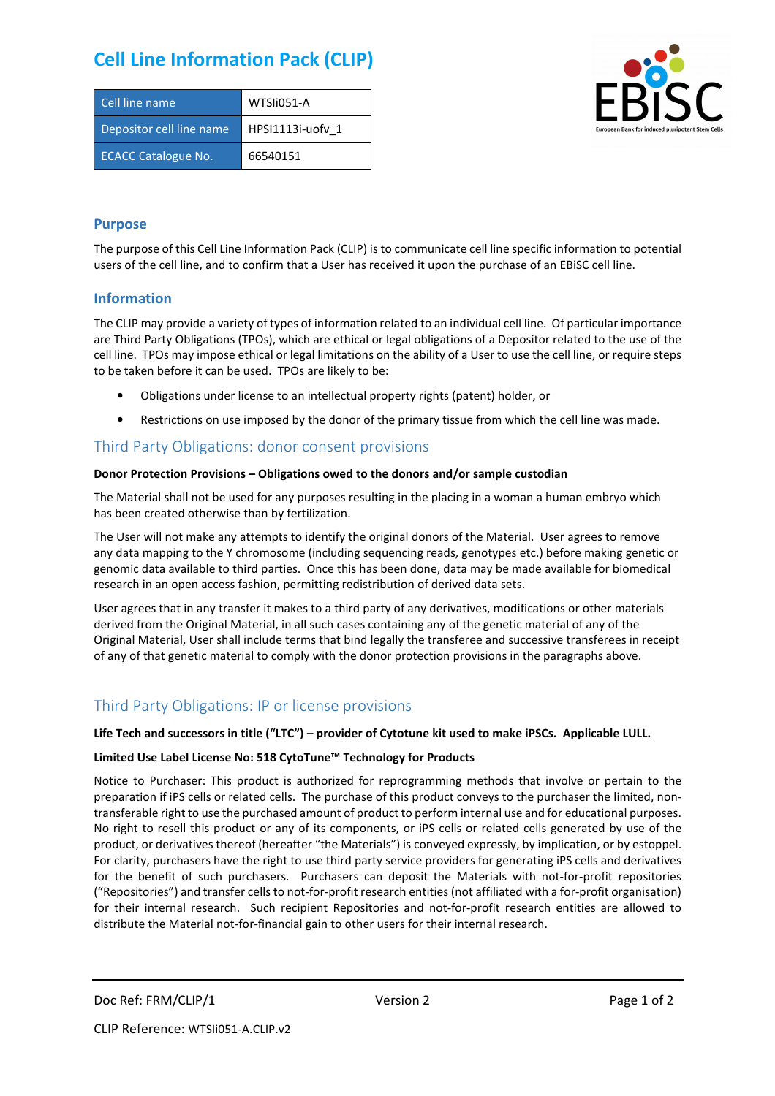# **Cell Line Information Pack (CLIP)**

| Cell line name             | WTSIi051-A       |
|----------------------------|------------------|
| Depositor cell line name   | HPSI1113i-uofv 1 |
| <b>ECACC Catalogue No.</b> | 66540151         |



#### **Purpose**

The purpose of this Cell Line Information Pack (CLIP) is to communicate cell line specific information to potential users of the cell line, and to confirm that a User has received it upon the purchase of an EBiSC cell line.

#### **Information**

The CLIP may provide a variety of types of information related to an individual cell line. Of particular importance are Third Party Obligations (TPOs), which are ethical or legal obligations of a Depositor related to the use of the cell line. TPOs may impose ethical or legal limitations on the ability of a User to use the cell line, or require steps to be taken before it can be used. TPOs are likely to be:

- Obligations under license to an intellectual property rights (patent) holder, or
- Restrictions on use imposed by the donor of the primary tissue from which the cell line was made.

### Third Party Obligations: donor consent provisions

#### **Donor Protection Provisions – Obligations owed to the donors and/or sample custodian**

The Material shall not be used for any purposes resulting in the placing in a woman a human embryo which has been created otherwise than by fertilization.

The User will not make any attempts to identify the original donors of the Material. User agrees to remove any data mapping to the Y chromosome (including sequencing reads, genotypes etc.) before making genetic or genomic data available to third parties. Once this has been done, data may be made available for biomedical research in an open access fashion, permitting redistribution of derived data sets.

User agrees that in any transfer it makes to a third party of any derivatives, modifications or other materials derived from the Original Material, in all such cases containing any of the genetic material of any of the Original Material, User shall include terms that bind legally the transferee and successive transferees in receipt of any of that genetic material to comply with the donor protection provisions in the paragraphs above.

## Third Party Obligations: IP or license provisions

#### **Life Tech and successors in title ("LTC") – provider of Cytotune kit used to make iPSCs. Applicable LULL.**

#### **Limited Use Label License No: 518 CytoTune™ Technology for Products**

Notice to Purchaser: This product is authorized for reprogramming methods that involve or pertain to the preparation if iPS cells or related cells. The purchase of this product conveys to the purchaser the limited, nontransferable right to use the purchased amount of product to perform internal use and for educational purposes. No right to resell this product or any of its components, or iPS cells or related cells generated by use of the product, or derivatives thereof (hereafter "the Materials") is conveyed expressly, by implication, or by estoppel. For clarity, purchasers have the right to use third party service providers for generating iPS cells and derivatives for the benefit of such purchasers. Purchasers can deposit the Materials with not-for-profit repositories ("Repositories") and transfer cells to not-for-profit research entities (not affiliated with a for-profit organisation) for their internal research. Such recipient Repositories and not-for-profit research entities are allowed to distribute the Material not-for-financial gain to other users for their internal research.

Doc Ref: FRM/CLIP/1 Version 2 Version 2 Page 1 of 2